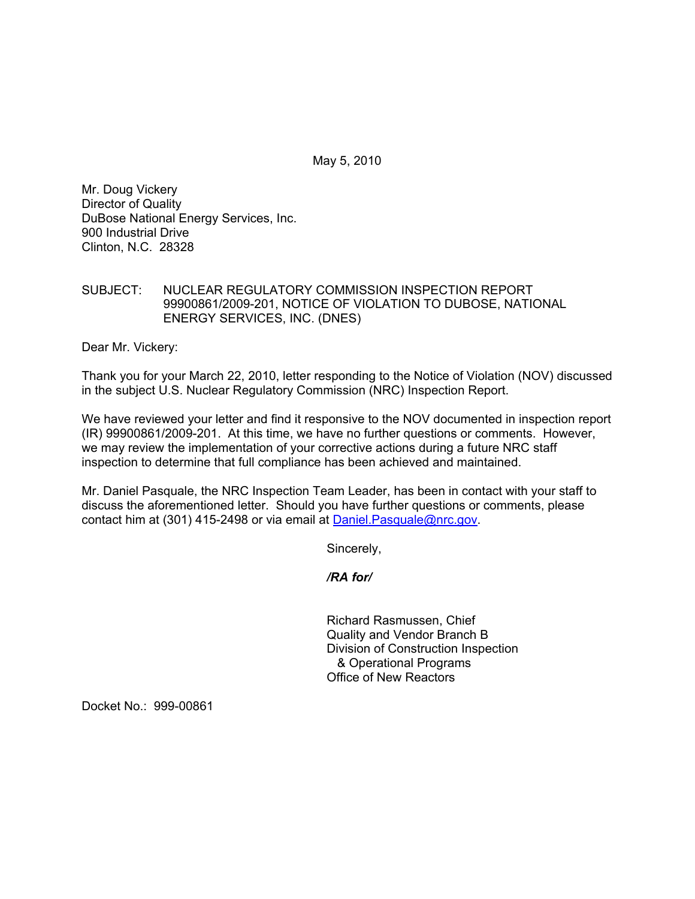May 5, 2010

Mr. Doug Vickery Director of Quality DuBose National Energy Services, Inc. 900 Industrial Drive Clinton, N.C. 28328

## SUBJECT: NUCLEAR REGULATORY COMMISSION INSPECTION REPORT 99900861/2009-201, NOTICE OF VIOLATION TO DUBOSE, NATIONAL ENERGY SERVICES, INC. (DNES)

Dear Mr. Vickery:

Thank you for your March 22, 2010, letter responding to the Notice of Violation (NOV) discussed in the subject U.S. Nuclear Regulatory Commission (NRC) Inspection Report.

We have reviewed your letter and find it responsive to the NOV documented in inspection report (IR) 99900861/2009-201. At this time, we have no further questions or comments. However, we may review the implementation of your corrective actions during a future NRC staff inspection to determine that full compliance has been achieved and maintained.

Mr. Daniel Pasquale, the NRC Inspection Team Leader, has been in contact with your staff to discuss the aforementioned letter. Should you have further questions or comments, please contact him at (301) 415-2498 or via email at Daniel. Pasquale@nrc.gov.

Sincerely,

*/RA for/* 

Richard Rasmussen, Chief Quality and Vendor Branch B Division of Construction Inspection & Operational Programs Office of New Reactors

Docket No.: 999-00861